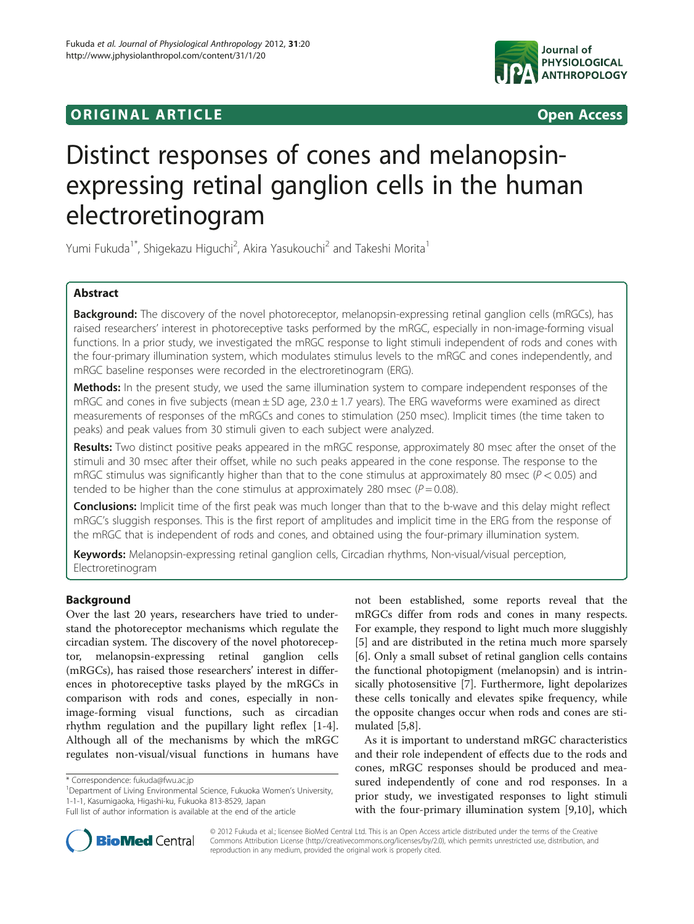# **ORIGINAL ARTICLE CONSUMING A LIGACION** CONSUMING A LIGACION CONSUMING A LIGACION CONSUMING A LIGACION CONSUMING A LIGACION CONSUMING A LIGACION CONSUMING A LIGACION CONSUMING A LIGACION CONSUMING A LIGACION CONSUMING A



# Distinct responses of cones and melanopsinexpressing retinal ganglion cells in the human electroretinogram

Yumi Fukuda<sup>1\*</sup>, Shigekazu Higuchi<sup>2</sup>, Akira Yasukouchi<sup>2</sup> and Takeshi Morita<sup>1</sup>

# Abstract

Background: The discovery of the novel photoreceptor, melanopsin-expressing retinal ganglion cells (mRGCs), has raised researchers' interest in photoreceptive tasks performed by the mRGC, especially in non-image-forming visual functions. In a prior study, we investigated the mRGC response to light stimuli independent of rods and cones with the four-primary illumination system, which modulates stimulus levels to the mRGC and cones independently, and mRGC baseline responses were recorded in the electroretinogram (ERG).

**Methods:** In the present study, we used the same illumination system to compare independent responses of the mRGC and cones in five subjects (mean  $\pm$  SD age, 23.0  $\pm$  1.7 years). The ERG waveforms were examined as direct measurements of responses of the mRGCs and cones to stimulation (250 msec). Implicit times (the time taken to peaks) and peak values from 30 stimuli given to each subject were analyzed.

Results: Two distinct positive peaks appeared in the mRGC response, approximately 80 msec after the onset of the stimuli and 30 msec after their offset, while no such peaks appeared in the cone response. The response to the mRGC stimulus was significantly higher than that to the cone stimulus at approximately 80 msec ( $P < 0.05$ ) and tended to be higher than the cone stimulus at approximately 280 msec ( $P = 0.08$ ).

**Conclusions:** Implicit time of the first peak was much longer than that to the b-wave and this delay might reflect mRGC's sluggish responses. This is the first report of amplitudes and implicit time in the ERG from the response of the mRGC that is independent of rods and cones, and obtained using the four-primary illumination system.

Keywords: Melanopsin-expressing retinal ganglion cells, Circadian rhythms, Non-visual/visual perception, Electroretinogram

# Background

Over the last 20 years, researchers have tried to understand the photoreceptor mechanisms which regulate the circadian system. The discovery of the novel photoreceptor, melanopsin-expressing retinal ganglion cells (mRGCs), has raised those researchers' interest in differences in photoreceptive tasks played by the mRGCs in comparison with rods and cones, especially in nonimage-forming visual functions, such as circadian rhythm regulation and the pupillary light reflex [[1-4](#page-7-0)]. Although all of the mechanisms by which the mRGC regulates non-visual/visual functions in humans have

<sup>1</sup>Department of Living Environmental Science, Fukuoka Women's University, 1-1-1, Kasumigaoka, Higashi-ku, Fukuoka 813-8529, Japan

not been established, some reports reveal that the mRGCs differ from rods and cones in many respects. For example, they respond to light much more sluggishly [[5\]](#page-7-0) and are distributed in the retina much more sparsely [[6\]](#page-7-0). Only a small subset of retinal ganglion cells contains the functional photopigment (melanopsin) and is intrinsically photosensitive [[7\]](#page-7-0). Furthermore, light depolarizes these cells tonically and elevates spike frequency, while the opposite changes occur when rods and cones are stimulated [\[5,8\]](#page-7-0).

As it is important to understand mRGC characteristics and their role independent of effects due to the rods and cones, mRGC responses should be produced and measured independently of cone and rod responses. In a prior study, we investigated responses to light stimuli with the four-primary illumination system [\[9,10\]](#page-7-0), which



© 2012 Fukuda et al.; licensee BioMed Central Ltd. This is an Open Access article distributed under the terms of the Creative Commons Attribution License [\(http://creativecommons.org/licenses/by/2.0\)](http://creativecommons.org/licenses/by/2.0), which permits unrestricted use, distribution, and reproduction in any medium, provided the original work is properly cited.

<sup>\*</sup> Correspondence: [fukuda@fwu.ac.jp](mailto:fukuda@fwu.ac.jp) <sup>1</sup>

Full list of author information is available at the end of the article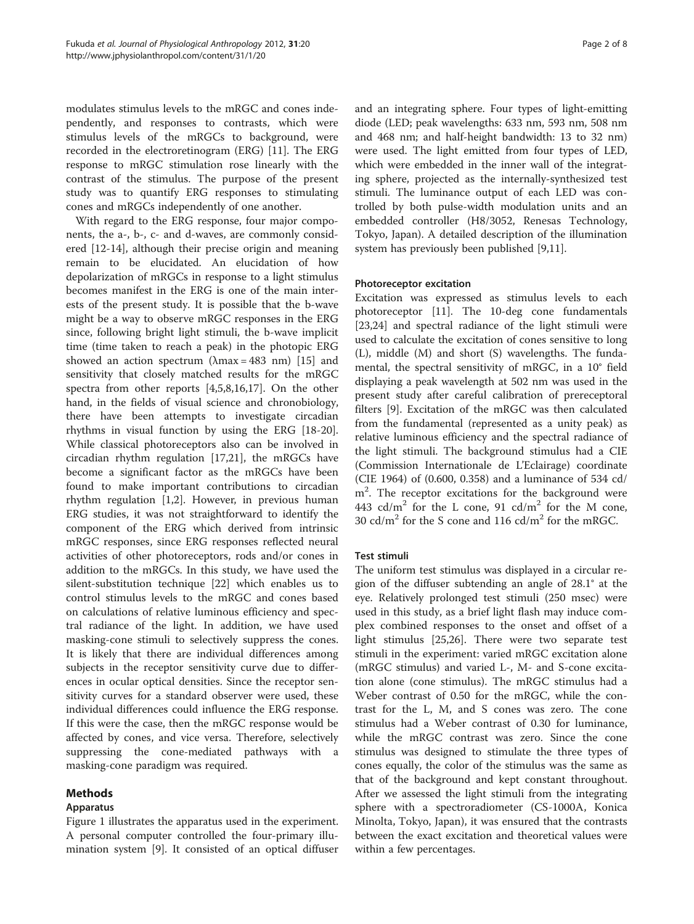modulates stimulus levels to the mRGC and cones independently, and responses to contrasts, which were stimulus levels of the mRGCs to background, were recorded in the electroretinogram (ERG) [\[11](#page-7-0)]. The ERG response to mRGC stimulation rose linearly with the contrast of the stimulus. The purpose of the present study was to quantify ERG responses to stimulating cones and mRGCs independently of one another.

With regard to the ERG response, four major components, the a-, b-, c- and d-waves, are commonly considered [\[12](#page-7-0)-[14\]](#page-7-0), although their precise origin and meaning remain to be elucidated. An elucidation of how depolarization of mRGCs in response to a light stimulus becomes manifest in the ERG is one of the main interests of the present study. It is possible that the b-wave might be a way to observe mRGC responses in the ERG since, following bright light stimuli, the b-wave implicit time (time taken to reach a peak) in the photopic ERG showed an action spectrum  $(\lambda max = 483$  nm) [[15\]](#page-7-0) and sensitivity that closely matched results for the mRGC spectra from other reports [[4,5,8,16,17\]](#page-7-0). On the other hand, in the fields of visual science and chronobiology, there have been attempts to investigate circadian rhythms in visual function by using the ERG [\[18-20](#page-7-0)]. While classical photoreceptors also can be involved in circadian rhythm regulation [\[17,21\]](#page-7-0), the mRGCs have become a significant factor as the mRGCs have been found to make important contributions to circadian rhythm regulation [\[1,2](#page-7-0)]. However, in previous human ERG studies, it was not straightforward to identify the component of the ERG which derived from intrinsic mRGC responses, since ERG responses reflected neural activities of other photoreceptors, rods and/or cones in addition to the mRGCs. In this study, we have used the silent-substitution technique [\[22](#page-7-0)] which enables us to control stimulus levels to the mRGC and cones based on calculations of relative luminous efficiency and spectral radiance of the light. In addition, we have used masking-cone stimuli to selectively suppress the cones. It is likely that there are individual differences among subjects in the receptor sensitivity curve due to differences in ocular optical densities. Since the receptor sensitivity curves for a standard observer were used, these individual differences could influence the ERG response. If this were the case, then the mRGC response would be affected by cones, and vice versa. Therefore, selectively suppressing the cone-mediated pathways with a masking-cone paradigm was required.

# Methods

# Apparatus

Figure [1](#page-2-0) illustrates the apparatus used in the experiment. A personal computer controlled the four-primary illumination system [\[9](#page-7-0)]. It consisted of an optical diffuser and an integrating sphere. Four types of light-emitting diode (LED; peak wavelengths: 633 nm, 593 nm, 508 nm and 468 nm; and half-height bandwidth: 13 to 32 nm) were used. The light emitted from four types of LED, which were embedded in the inner wall of the integrating sphere, projected as the internally-synthesized test stimuli. The luminance output of each LED was controlled by both pulse-width modulation units and an embedded controller (H8/3052, Renesas Technology, Tokyo, Japan). A detailed description of the illumination system has previously been published [\[9,11](#page-7-0)].

# Photoreceptor excitation

Excitation was expressed as stimulus levels to each photoreceptor [[11\]](#page-7-0). The 10-deg cone fundamentals [[23,24\]](#page-7-0) and spectral radiance of the light stimuli were used to calculate the excitation of cones sensitive to long (L), middle (M) and short (S) wavelengths. The fundamental, the spectral sensitivity of mRGC, in a 10° field displaying a peak wavelength at 502 nm was used in the present study after careful calibration of prereceptoral filters [\[9\]](#page-7-0). Excitation of the mRGC was then calculated from the fundamental (represented as a unity peak) as relative luminous efficiency and the spectral radiance of the light stimuli. The background stimulus had a CIE (Commission Internationale de L'Eclairage) coordinate (CIE 1964) of (0.600, 0.358) and a luminance of 534 cd/ m2 . The receptor excitations for the background were 443 cd/m<sup>2</sup> for the L cone, 91 cd/m<sup>2</sup> for the M cone, 30 cd/m<sup>2</sup> for the S cone and 116 cd/m<sup>2</sup> for the mRGC.

# Test stimuli

The uniform test stimulus was displayed in a circular region of the diffuser subtending an angle of 28.1° at the eye. Relatively prolonged test stimuli (250 msec) were used in this study, as a brief light flash may induce complex combined responses to the onset and offset of a light stimulus [\[25,26](#page-7-0)]. There were two separate test stimuli in the experiment: varied mRGC excitation alone (mRGC stimulus) and varied L-, M- and S-cone excitation alone (cone stimulus). The mRGC stimulus had a Weber contrast of 0.50 for the mRGC, while the contrast for the L, M, and S cones was zero. The cone stimulus had a Weber contrast of 0.30 for luminance, while the mRGC contrast was zero. Since the cone stimulus was designed to stimulate the three types of cones equally, the color of the stimulus was the same as that of the background and kept constant throughout. After we assessed the light stimuli from the integrating sphere with a spectroradiometer (CS-1000A, Konica Minolta, Tokyo, Japan), it was ensured that the contrasts between the exact excitation and theoretical values were within a few percentages.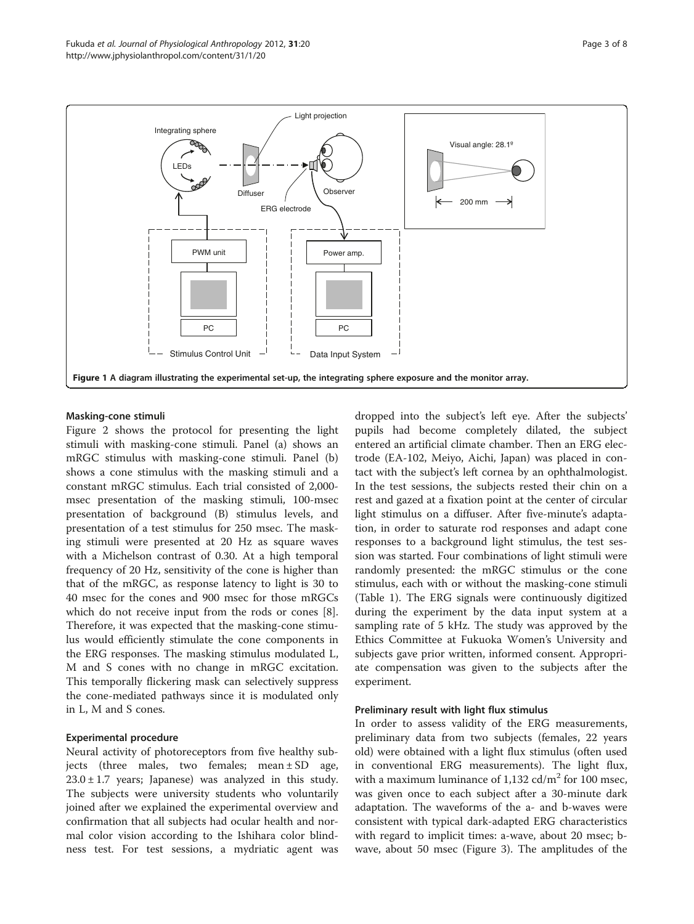<span id="page-2-0"></span>

#### Masking-cone stimuli

Figure [2](#page-3-0) shows the protocol for presenting the light stimuli with masking-cone stimuli. Panel (a) shows an mRGC stimulus with masking-cone stimuli. Panel (b) shows a cone stimulus with the masking stimuli and a constant mRGC stimulus. Each trial consisted of 2,000 msec presentation of the masking stimuli, 100-msec presentation of background (B) stimulus levels, and presentation of a test stimulus for 250 msec. The masking stimuli were presented at 20 Hz as square waves with a Michelson contrast of 0.30. At a high temporal frequency of 20 Hz, sensitivity of the cone is higher than that of the mRGC, as response latency to light is 30 to 40 msec for the cones and 900 msec for those mRGCs which do not receive input from the rods or cones [\[8](#page-7-0)]. Therefore, it was expected that the masking-cone stimulus would efficiently stimulate the cone components in the ERG responses. The masking stimulus modulated L, M and S cones with no change in mRGC excitation. This temporally flickering mask can selectively suppress the cone-mediated pathways since it is modulated only in L, M and S cones.

#### Experimental procedure

Neural activity of photoreceptors from five healthy subjects (three males, two females; mean  $\pm$  SD age,  $23.0 \pm 1.7$  years; Japanese) was analyzed in this study. The subjects were university students who voluntarily joined after we explained the experimental overview and confirmation that all subjects had ocular health and normal color vision according to the Ishihara color blindness test. For test sessions, a mydriatic agent was dropped into the subject's left eye. After the subjects' pupils had become completely dilated, the subject entered an artificial climate chamber. Then an ERG electrode (EA-102, Meiyo, Aichi, Japan) was placed in contact with the subject's left cornea by an ophthalmologist. In the test sessions, the subjects rested their chin on a rest and gazed at a fixation point at the center of circular light stimulus on a diffuser. After five-minute's adaptation, in order to saturate rod responses and adapt cone responses to a background light stimulus, the test session was started. Four combinations of light stimuli were randomly presented: the mRGC stimulus or the cone stimulus, each with or without the masking-cone stimuli (Table [1](#page-3-0)). The ERG signals were continuously digitized during the experiment by the data input system at a sampling rate of 5 kHz. The study was approved by the Ethics Committee at Fukuoka Women's University and subjects gave prior written, informed consent. Appropriate compensation was given to the subjects after the experiment.

#### Preliminary result with light flux stimulus

In order to assess validity of the ERG measurements, preliminary data from two subjects (females, 22 years old) were obtained with a light flux stimulus (often used in conventional ERG measurements). The light flux, with a maximum luminance of  $1,132$  cd/m<sup>2</sup> for 100 msec, was given once to each subject after a 30-minute dark adaptation. The waveforms of the a- and b-waves were consistent with typical dark-adapted ERG characteristics with regard to implicit times: a-wave, about 20 msec; bwave, about 50 msec (Figure [3](#page-3-0)). The amplitudes of the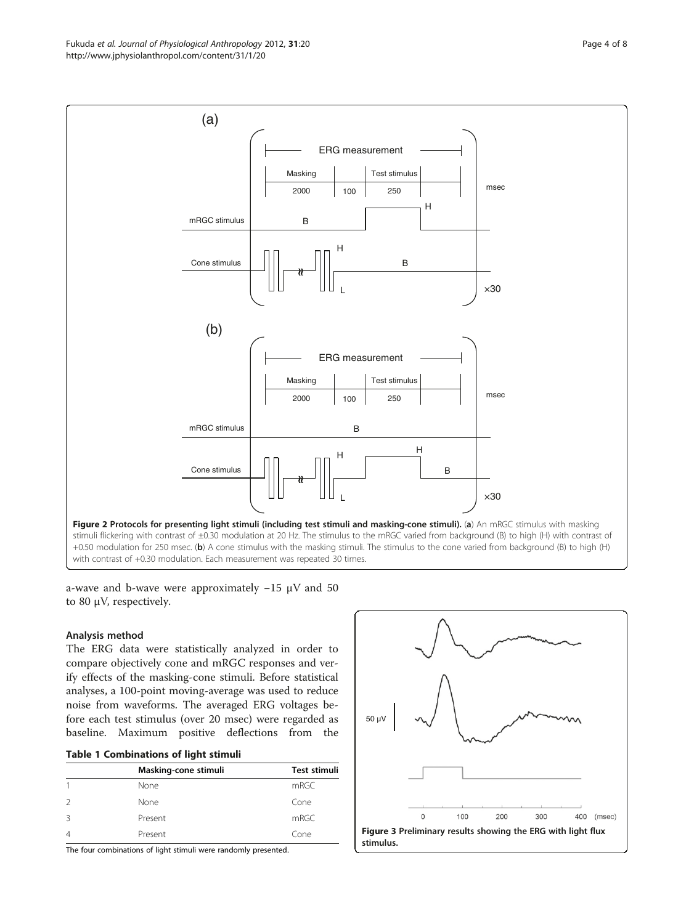<span id="page-3-0"></span>

a-wave and b-wave were approximately  $-15 \mu V$  and 50 to 80 μV, respectively.

# Analysis method

The ERG data were statistically analyzed in order to compare objectively cone and mRGC responses and verify effects of the masking-cone stimuli. Before statistical analyses, a 100-point moving-average was used to reduce noise from waveforms. The averaged ERG voltages before each test stimulus (over 20 msec) were regarded as baseline. Maximum positive deflections from the

|  | <b>Table 1 Combinations of light stimuli</b> |  |  |
|--|----------------------------------------------|--|--|
|--|----------------------------------------------|--|--|

|   | Masking-cone stimuli | Test stimuli |
|---|----------------------|--------------|
|   | None                 | mRGC         |
| 2 | None                 | Cone         |
| 3 | Present              | mRGC         |
| 4 | Present              | Cone         |

The four combinations of light stimuli were randomly presented.

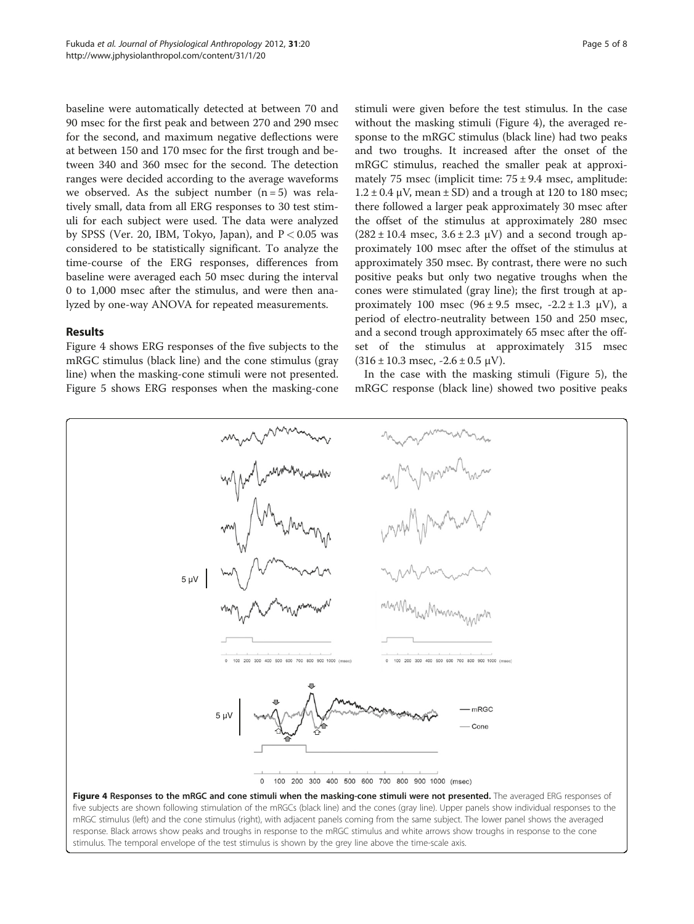<span id="page-4-0"></span>baseline were automatically detected at between 70 and 90 msec for the first peak and between 270 and 290 msec for the second, and maximum negative deflections were at between 150 and 170 msec for the first trough and between 340 and 360 msec for the second. The detection ranges were decided according to the average waveforms we observed. As the subject number  $(n=5)$  was relatively small, data from all ERG responses to 30 test stimuli for each subject were used. The data were analyzed by SPSS (Ver. 20, IBM, Tokyo, Japan), and  $P < 0.05$  was considered to be statistically significant. To analyze the time-course of the ERG responses, differences from baseline were averaged each 50 msec during the interval 0 to 1,000 msec after the stimulus, and were then analyzed by one-way ANOVA for repeated measurements.

#### Results

Figure 4 shows ERG responses of the five subjects to the mRGC stimulus (black line) and the cone stimulus (gray line) when the masking-cone stimuli were not presented. Figure [5](#page-5-0) shows ERG responses when the masking-cone

stimuli were given before the test stimulus. In the case without the masking stimuli (Figure 4), the averaged response to the mRGC stimulus (black line) had two peaks and two troughs. It increased after the onset of the mRGC stimulus, reached the smaller peak at approximately 75 msec (implicit time:  $75 \pm 9.4$  msec, amplitude:  $1.2 \pm 0.4$   $\mu$ V, mean  $\pm$  SD) and a trough at 120 to 180 msec; there followed a larger peak approximately 30 msec after the offset of the stimulus at approximately 280 msec  $(282 \pm 10.4 \text{ msec}, 3.6 \pm 2.3 \text{ }\mu\text{V})$  and a second trough approximately 100 msec after the offset of the stimulus at approximately 350 msec. By contrast, there were no such positive peaks but only two negative troughs when the cones were stimulated (gray line); the first trough at approximately 100 msec  $(96 \pm 9.5 \text{ msec}, -2.2 \pm 1.3 \text{ µV})$ , a period of electro-neutrality between 150 and 250 msec, and a second trough approximately 65 msec after the offset of the stimulus at approximately 315 msec  $(316 \pm 10.3$  msec,  $-2.6 \pm 0.5$   $\mu$ V).

In the case with the masking stimuli (Figure [5\)](#page-5-0), the mRGC response (black line) showed two positive peaks



mRGC stimulus (left) and the cone stimulus (right), with adjacent panels coming from the same subject. The lower panel shows the averaged response. Black arrows show peaks and troughs in response to the mRGC stimulus and white arrows show troughs in response to the cone stimulus. The temporal envelope of the test stimulus is shown by the grey line above the time-scale axis.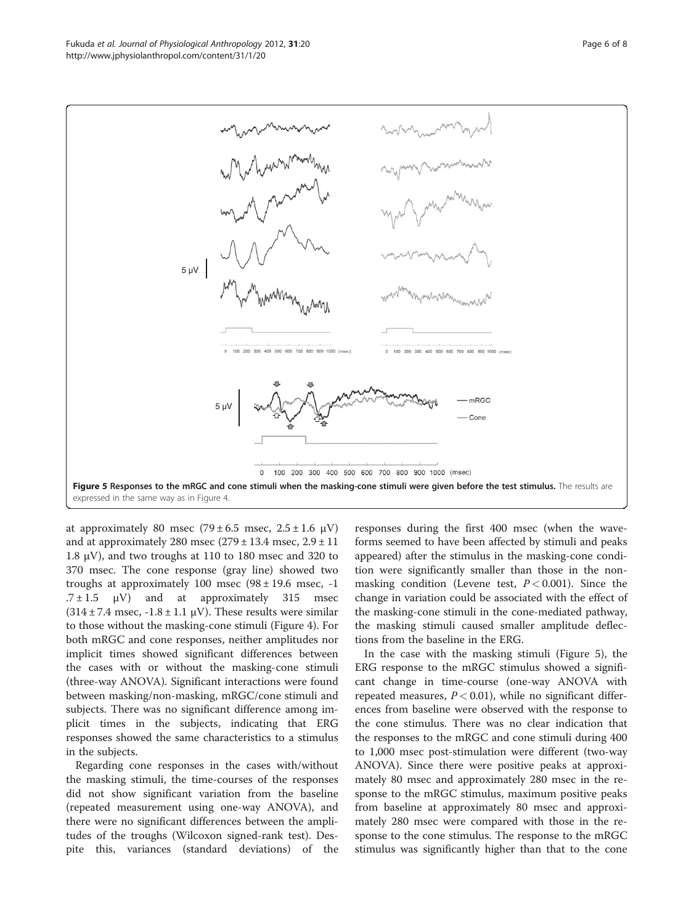<span id="page-5-0"></span>

at approximately 80 msec  $(79 \pm 6.5 \text{ msec}, 2.5 \pm 1.6 \text{ }\mu\text{V})$ and at approximately 280 msec  $(279 \pm 13.4 \text{ msec}, 2.9 \pm 11)$ 1.8 μV), and two troughs at 110 to 180 msec and 320 to 370 msec. The cone response (gray line) showed two troughs at approximately 100 msec  $(98 \pm 19.6$  msec, -1  $.7 \pm 1.5$   $\mu$ V) and at approximately 315 msec  $(314 \pm 7.4 \text{ msec}, -1.8 \pm 1.1 \text{ }\mu\text{V})$ . These results were similar to those without the masking-cone stimuli (Figure [4\)](#page-4-0). For both mRGC and cone responses, neither amplitudes nor implicit times showed significant differences between the cases with or without the masking-cone stimuli (three-way ANOVA). Significant interactions were found between masking/non-masking, mRGC/cone stimuli and subjects. There was no significant difference among implicit times in the subjects, indicating that ERG responses showed the same characteristics to a stimulus in the subjects.

Regarding cone responses in the cases with/without the masking stimuli, the time-courses of the responses did not show significant variation from the baseline (repeated measurement using one-way ANOVA), and there were no significant differences between the amplitudes of the troughs (Wilcoxon signed-rank test). Despite this, variances (standard deviations) of the responses during the first 400 msec (when the waveforms seemed to have been affected by stimuli and peaks appeared) after the stimulus in the masking-cone condition were significantly smaller than those in the nonmasking condition (Levene test,  $P < 0.001$ ). Since the change in variation could be associated with the effect of the masking-cone stimuli in the cone-mediated pathway, the masking stimuli caused smaller amplitude deflections from the baseline in the ERG.

In the case with the masking stimuli (Figure 5), the ERG response to the mRGC stimulus showed a significant change in time-course (one-way ANOVA with repeated measures,  $P < 0.01$ ), while no significant differences from baseline were observed with the response to the cone stimulus. There was no clear indication that the responses to the mRGC and cone stimuli during 400 to 1,000 msec post-stimulation were different (two-way ANOVA). Since there were positive peaks at approximately 80 msec and approximately 280 msec in the response to the mRGC stimulus, maximum positive peaks from baseline at approximately 80 msec and approximately 280 msec were compared with those in the response to the cone stimulus. The response to the mRGC stimulus was significantly higher than that to the cone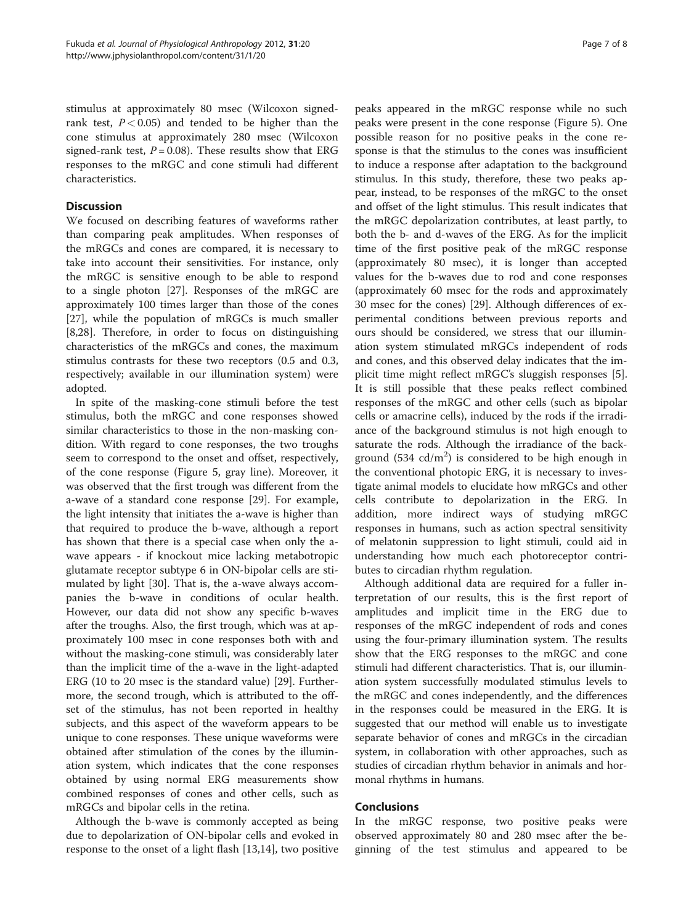stimulus at approximately 80 msec (Wilcoxon signedrank test,  $P < 0.05$ ) and tended to be higher than the cone stimulus at approximately 280 msec (Wilcoxon signed-rank test,  $P = 0.08$ ). These results show that ERG responses to the mRGC and cone stimuli had different characteristics.

### **Discussion**

We focused on describing features of waveforms rather than comparing peak amplitudes. When responses of the mRGCs and cones are compared, it is necessary to take into account their sensitivities. For instance, only the mRGC is sensitive enough to be able to respond to a single photon [\[27\]](#page-7-0). Responses of the mRGC are approximately 100 times larger than those of the cones [[27\]](#page-7-0), while the population of mRGCs is much smaller [[8,28\]](#page-7-0). Therefore, in order to focus on distinguishing characteristics of the mRGCs and cones, the maximum stimulus contrasts for these two receptors (0.5 and 0.3, respectively; available in our illumination system) were adopted.

In spite of the masking-cone stimuli before the test stimulus, both the mRGC and cone responses showed similar characteristics to those in the non-masking condition. With regard to cone responses, the two troughs seem to correspond to the onset and offset, respectively, of the cone response (Figure [5](#page-5-0), gray line). Moreover, it was observed that the first trough was different from the a-wave of a standard cone response [[29\]](#page-7-0). For example, the light intensity that initiates the a-wave is higher than that required to produce the b-wave, although a report has shown that there is a special case when only the awave appears - if knockout mice lacking metabotropic glutamate receptor subtype 6 in ON-bipolar cells are stimulated by light [[30](#page-7-0)]. That is, the a-wave always accompanies the b-wave in conditions of ocular health. However, our data did not show any specific b-waves after the troughs. Also, the first trough, which was at approximately 100 msec in cone responses both with and without the masking-cone stimuli, was considerably later than the implicit time of the a-wave in the light-adapted ERG (10 to 20 msec is the standard value) [\[29\]](#page-7-0). Furthermore, the second trough, which is attributed to the offset of the stimulus, has not been reported in healthy subjects, and this aspect of the waveform appears to be unique to cone responses. These unique waveforms were obtained after stimulation of the cones by the illumination system, which indicates that the cone responses obtained by using normal ERG measurements show combined responses of cones and other cells, such as mRGCs and bipolar cells in the retina.

Although the b-wave is commonly accepted as being due to depolarization of ON-bipolar cells and evoked in response to the onset of a light flash [\[13,14](#page-7-0)], two positive

peaks appeared in the mRGC response while no such peaks were present in the cone response (Figure [5\)](#page-5-0). One possible reason for no positive peaks in the cone response is that the stimulus to the cones was insufficient to induce a response after adaptation to the background stimulus. In this study, therefore, these two peaks appear, instead, to be responses of the mRGC to the onset and offset of the light stimulus. This result indicates that the mRGC depolarization contributes, at least partly, to both the b- and d-waves of the ERG. As for the implicit time of the first positive peak of the mRGC response (approximately 80 msec), it is longer than accepted values for the b-waves due to rod and cone responses (approximately 60 msec for the rods and approximately 30 msec for the cones) [[29](#page-7-0)]. Although differences of experimental conditions between previous reports and ours should be considered, we stress that our illumination system stimulated mRGCs independent of rods and cones, and this observed delay indicates that the implicit time might reflect mRGC's sluggish responses [\[5](#page-7-0)]. It is still possible that these peaks reflect combined responses of the mRGC and other cells (such as bipolar cells or amacrine cells), induced by the rods if the irradiance of the background stimulus is not high enough to saturate the rods. Although the irradiance of the background (534  $cd/m<sup>2</sup>$ ) is considered to be high enough in the conventional photopic ERG, it is necessary to investigate animal models to elucidate how mRGCs and other cells contribute to depolarization in the ERG. In addition, more indirect ways of studying mRGC responses in humans, such as action spectral sensitivity of melatonin suppression to light stimuli, could aid in understanding how much each photoreceptor contributes to circadian rhythm regulation.

Although additional data are required for a fuller interpretation of our results, this is the first report of amplitudes and implicit time in the ERG due to responses of the mRGC independent of rods and cones using the four-primary illumination system. The results show that the ERG responses to the mRGC and cone stimuli had different characteristics. That is, our illumination system successfully modulated stimulus levels to the mRGC and cones independently, and the differences in the responses could be measured in the ERG. It is suggested that our method will enable us to investigate separate behavior of cones and mRGCs in the circadian system, in collaboration with other approaches, such as studies of circadian rhythm behavior in animals and hormonal rhythms in humans.

#### Conclusions

In the mRGC response, two positive peaks were observed approximately 80 and 280 msec after the beginning of the test stimulus and appeared to be